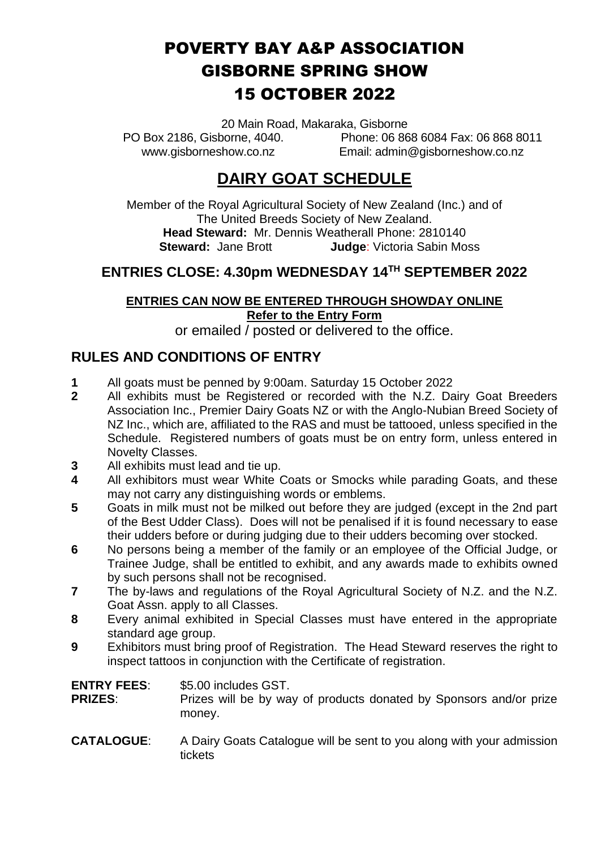# POVERTY BAY A&P ASSOCIATION GISBORNE SPRING SHOW 15 OCTOBER 2022

20 Main Road, Makaraka, Gisborne PO Box 2186, Gisborne, 4040. Phone: 06 868 6084 Fax: 06 868 8011 www.gisborneshow.co.nz Email: admin@gisborneshow.co.nz

# **DAIRY GOAT SCHEDULE**

Member of the Royal Agricultural Society of New Zealand (Inc.) and of The United Breeds Society of New Zealand. **Head Steward:** Mr. Dennis Weatherall Phone: 2810140 **Steward:** Jane Brott **Judge**: Victoria Sabin Moss

# **ENTRIES CLOSE: 4.30pm WEDNESDAY 14TH SEPTEMBER 2022**

# **ENTRIES CAN NOW BE ENTERED THROUGH SHOWDAY ONLINE Refer to the Entry Form**

or emailed / posted or delivered to the office.

# **RULES AND CONDITIONS OF ENTRY**

- **1** All goats must be penned by 9:00am. Saturday 15 October 2022
- **2** All exhibits must be Registered or recorded with the N.Z. Dairy Goat Breeders Association Inc., Premier Dairy Goats NZ or with the Anglo-Nubian Breed Society of NZ Inc., which are, affiliated to the RAS and must be tattooed, unless specified in the Schedule. Registered numbers of goats must be on entry form, unless entered in Novelty Classes.
- **3** All exhibits must lead and tie up.
- **4** All exhibitors must wear White Coats or Smocks while parading Goats, and these may not carry any distinguishing words or emblems.
- **5** Goats in milk must not be milked out before they are judged (except in the 2nd part of the Best Udder Class). Does will not be penalised if it is found necessary to ease their udders before or during judging due to their udders becoming over stocked.
- **6** No persons being a member of the family or an employee of the Official Judge, or Trainee Judge, shall be entitled to exhibit, and any awards made to exhibits owned by such persons shall not be recognised.
- **7** The by-laws and regulations of the Royal Agricultural Society of N.Z. and the N.Z. Goat Assn. apply to all Classes.
- **8** Every animal exhibited in Special Classes must have entered in the appropriate standard age group.
- **9** Exhibitors must bring proof of Registration. The Head Steward reserves the right to inspect tattoos in conjunction with the Certificate of registration.

| <b>ENTRY FEES:</b> | \$5.00 includes GST.                                                         |
|--------------------|------------------------------------------------------------------------------|
| <b>PRIZES:</b>     | Prizes will be by way of products donated by Sponsors and/or prize<br>money. |
|                    |                                                                              |

**CATALOGUE**: A Dairy Goats Catalogue will be sent to you along with your admission tickets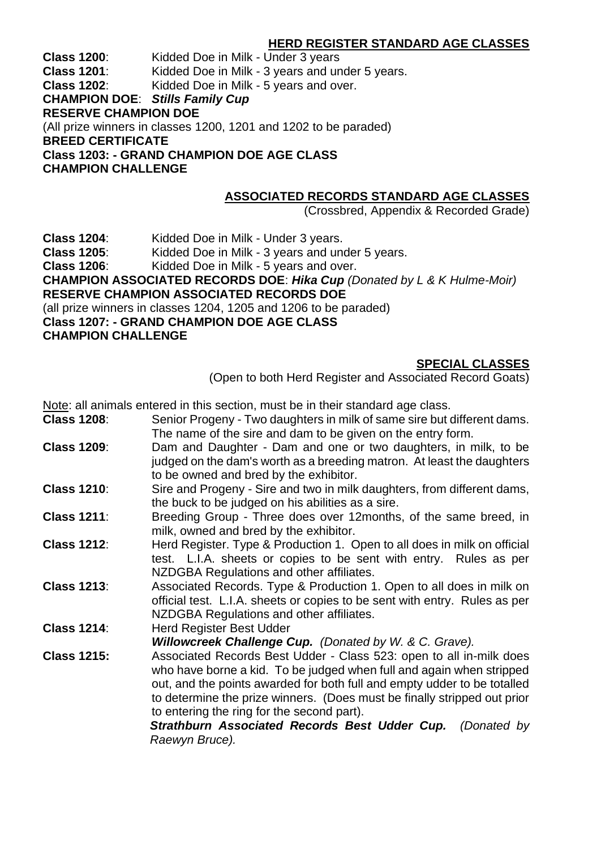#### **HERD REGISTER STANDARD AGE CLASSES**

**Class 1200**: Kidded Doe in Milk - Under 3 years **Class 1201**: Kidded Doe in Milk - 3 years and under 5 years. **Class 1202**: Kidded Doe in Milk - 5 years and over. **CHAMPION DOE**: *Stills Family Cup* **RESERVE CHAMPION DOE**  (All prize winners in classes 1200, 1201 and 1202 to be paraded) **BREED CERTIFICATE Class 1203: - GRAND CHAMPION DOE AGE CLASS CHAMPION CHALLENGE**

#### **ASSOCIATED RECORDS STANDARD AGE CLASSES**

(Crossbred, Appendix & Recorded Grade)

**Class 1204**: Kidded Doe in Milk - Under 3 years. **Class 1205**: Kidded Doe in Milk - 3 years and under 5 years. **Class 1206**: Kidded Doe in Milk - 5 years and over. **CHAMPION ASSOCIATED RECORDS DOE**: *Hika Cup (Donated by L & K Hulme-Moir)* **RESERVE CHAMPION ASSOCIATED RECORDS DOE** (all prize winners in classes 1204, 1205 and 1206 to be paraded) **Class 1207: - GRAND CHAMPION DOE AGE CLASS CHAMPION CHALLENGE**

#### **SPECIAL CLASSES**

(Open to both Herd Register and Associated Record Goats)

Note: all animals entered in this section, must be in their standard age class.

**Class 1208**: Senior Progeny - Two daughters in milk of same sire but different dams. The name of the sire and dam to be given on the entry form.

- **Class 1209**: Dam and Daughter Dam and one or two daughters, in milk, to be judged on the dam's worth as a breeding matron. At least the daughters to be owned and bred by the exhibitor.
- **Class 1210**: Sire and Progeny Sire and two in milk daughters, from different dams, the buck to be judged on his abilities as a sire.
- **Class 1211**: Breeding Group Three does over 12months, of the same breed, in milk, owned and bred by the exhibitor.
- **Class 1212**: Herd Register. Type & Production 1. Open to all does in milk on official test. L.I.A. sheets or copies to be sent with entry. Rules as per NZDGBA Regulations and other affiliates.
- **Class 1213**: Associated Records. Type & Production 1. Open to all does in milk on official test. L.I.A. sheets or copies to be sent with entry. Rules as per NZDGBA Regulations and other affiliates.
- **Class 1214:** Herd Register Best Udder

*Willowcreek Challenge Cup. (Donated by W. & C. Grave).*

**Class 1215:** Associated Records Best Udder - Class 523: open to all in-milk does who have borne a kid. To be judged when full and again when stripped out, and the points awarded for both full and empty udder to be totalled to determine the prize winners. (Does must be finally stripped out prior to entering the ring for the second part).

*Strathburn Associated Records Best Udder Cup. (Donated by Raewyn Bruce).*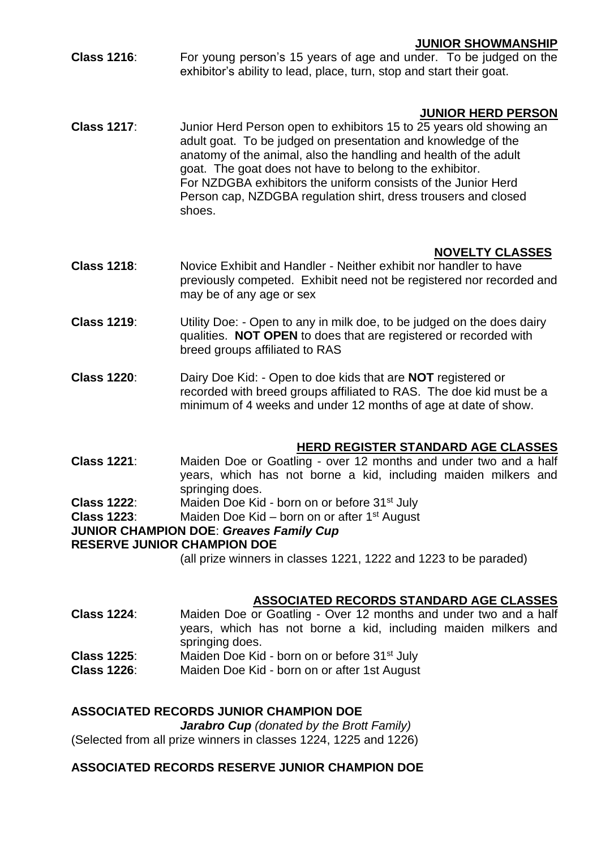#### **JUNIOR SHOWMANSHIP**

**Class 1216**: For young person's 15 years of age and under. To be judged on the exhibitor's ability to lead, place, turn, stop and start their goat.

#### **JUNIOR HERD PERSON**

**Class 1217**: Junior Herd Person open to exhibitors 15 to 25 years old showing an adult goat. To be judged on presentation and knowledge of the anatomy of the animal, also the handling and health of the adult goat. The goat does not have to belong to the exhibitor. For NZDGBA exhibitors the uniform consists of the Junior Herd Person cap, NZDGBA regulation shirt, dress trousers and closed shoes.

## **NOVELTY CLASSES**

- **Class 1218**: Novice Exhibit and Handler Neither exhibit nor handler to have previously competed. Exhibit need not be registered nor recorded and may be of any age or sex
- **Class 1219**: Utility Doe: Open to any in milk doe, to be judged on the does dairy qualities. **NOT OPEN** to does that are registered or recorded with breed groups affiliated to RAS
- **Class 1220**: Dairy Doe Kid: Open to doe kids that are **NOT** registered or recorded with breed groups affiliated to RAS. The doe kid must be a minimum of 4 weeks and under 12 months of age at date of show.

### **HERD REGISTER STANDARD AGE CLASSES**

- **Class 1221**: Maiden Doe or Goatling over 12 months and under two and a half years, which has not borne a kid, including maiden milkers and springing does.
- **Class 1222**: Maiden Doe Kid born on or before 31st July
- **Class 1223**: Maiden Doe Kid born on or after 1st August

#### **JUNIOR CHAMPION DOE**: *Greaves Family Cup*

#### **RESERVE JUNIOR CHAMPION DOE**

(all prize winners in classes 1221, 1222 and 1223 to be paraded)

#### **ASSOCIATED RECORDS STANDARD AGE CLASSES**

- **Class 1224**: Maiden Doe or Goatling Over 12 months and under two and a half years, which has not borne a kid, including maiden milkers and springing does.
- **Class 1225:** Maiden Doe Kid born on or before 31<sup>st</sup> July
- **Class 1226**: Maiden Doe Kid born on or after 1st August

### **ASSOCIATED RECORDS JUNIOR CHAMPION DOE**

*Jarabro Cup (donated by the Brott Family)*

(Selected from all prize winners in classes 1224, 1225 and 1226)

## **ASSOCIATED RECORDS RESERVE JUNIOR CHAMPION DOE**